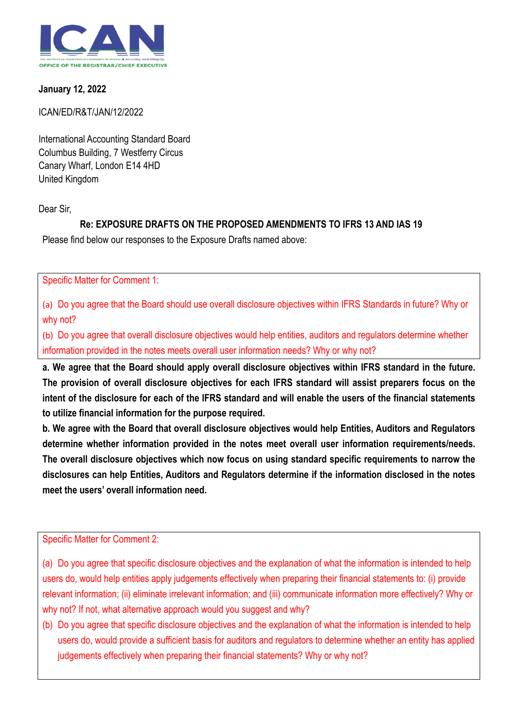

## **January 12, 2022**

## ICAN/ED/R&T/JAN/12/2022

International Accounting Standard Board Columbus Building, 7 Westferry Circus Canary Wharf, London E14 4HD United Kingdom

Dear Sir,

# **Re: EXPOSURE DRAFTS ON THE PROPOSED AMENDMENTS TO IFRS 13 AND IAS 19**

Please find below our responses to the Exposure Drafts named above:

Specific Matter for Comment 1:

(a) Do you agree that the Board should use overall disclosure objectives within IFRS Standards in future? Why or why not?

(b) Do you agree that overall disclosure objectives would help entities, auditors and regulators determine whether information provided in the notes meets overall user information needs? Why or why not?

**a. We agree that the Board should apply overall disclosure objectives within IFRS standard in the future. The provision of overall disclosure objectives for each IFRS standard will assist preparers focus on the intent of the disclosure for each of the IFRS standard and will enable the users of the financial statements to utilize financial information for the purpose required.** 

**b. We agree with the Board that overall disclosure objectives would help Entities, Auditors and Regulators determine whether information provided in the notes meet overall user information requirements/needs. The overall disclosure objectives which now focus on using standard specific requirements to narrow the disclosures can help Entities, Auditors and Regulators determine if the information disclosed in the notes meet the users' overall information need.**

Specific Matter for Comment 2:

(a) Do you agree that specific disclosure objectives and the explanation of what the information is intended to help users do, would help entities apply judgements effectively when preparing their financial statements to: (i) provide relevant information; (ii) eliminate irrelevant information; and (iii) communicate information more effectively? Why or why not? If not, what alternative approach would you suggest and why?

(b) Do you agree that specific disclosure objectives and the explanation of what the information is intended to help users do, would provide a sufficient basis for auditors and regulators to determine whether an entity has applied judgements effectively when preparing their financial statements? Why or why not?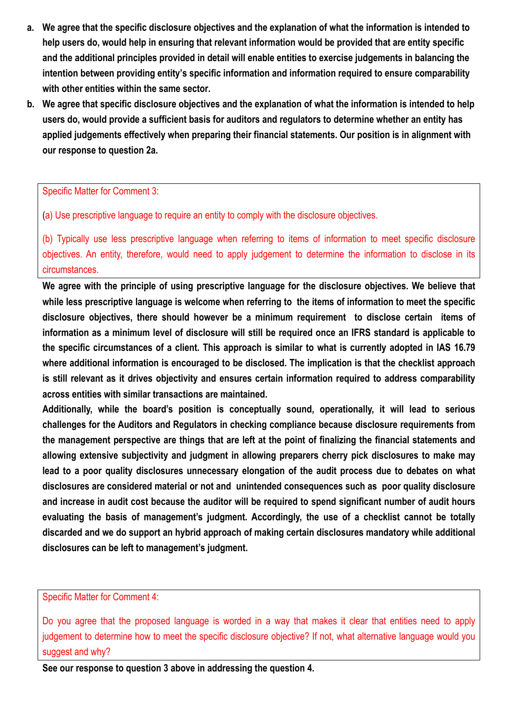- **a. We agree that the specific disclosure objectives and the explanation of what the information is intended to help users do, would help in ensuring that relevant information would be provided that are entity specific and the additional principles provided in detail will enable entities to exercise judgements in balancing the intention between providing entity's specific information and information required to ensure comparability with other entities within the same sector.**
- **b. We agree that specific disclosure objectives and the explanation of what the information is intended to help users do, would provide a sufficient basis for auditors and regulators to determine whether an entity has applied judgements effectively when preparing their financial statements. Our position is in alignment with our response to question 2a.**

Specific Matter for Comment 3:

(a) Use prescriptive language to require an entity to comply with the disclosure objectives.

(b) Typically use less prescriptive language when referring to items of information to meet specific disclosure objectives. An entity, therefore, would need to apply judgement to determine the information to disclose in its circumstances.

**We agree with the principle of using prescriptive language for the disclosure objectives. We believe that while less prescriptive language is welcome when referring to the items of information to meet the specific disclosure objectives, there should however be a minimum requirement to disclose certain items of information as a minimum level of disclosure will still be required once an IFRS standard is applicable to the specific circumstances of a client. This approach is similar to what is currently adopted in IAS 16.79 where additional information is encouraged to be disclosed. The implication is that the checklist approach is still relevant as it drives objectivity and ensures certain information required to address comparability across entities with similar transactions are maintained.**

**Additionally, while the board's position is conceptually sound, operationally, it will lead to serious challenges for the Auditors and Regulators in checking compliance because disclosure requirements from the management perspective are things that are left at the point of finalizing the financial statements and allowing extensive subjectivity and judgment in allowing preparers cherry pick disclosures to make may lead to a poor quality disclosures unnecessary elongation of the audit process due to debates on what disclosures are considered material or not and unintended consequences such as poor quality disclosure and increase in audit cost because the auditor will be required to spend significant number of audit hours evaluating the basis of management's judgment. Accordingly, the use of a checklist cannot be totally discarded and we do support an hybrid approach of making certain disclosures mandatory while additional disclosures can be left to management's judgment.** 

Specific Matter for Comment 4:

Do you agree that the proposed language is worded in a way that makes it clear that entities need to apply judgement to determine how to meet the specific disclosure objective? If not, what alternative language would you suggest and why?

**See our response to question 3 above in addressing the question 4.**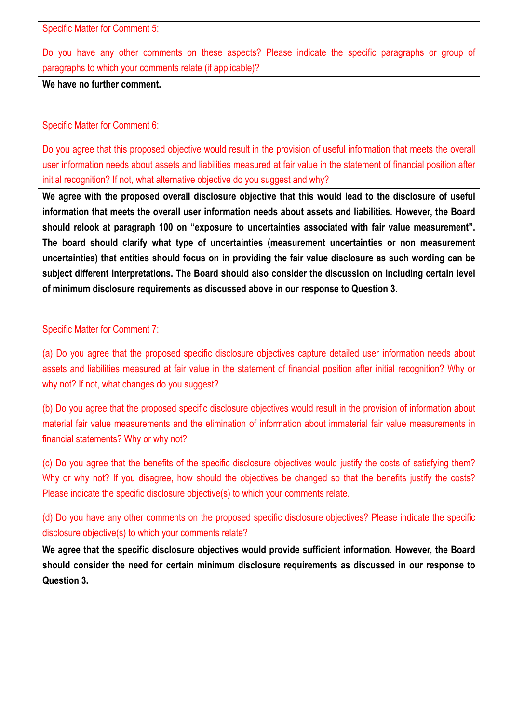Specific Matter for Comment 5:

Do you have any other comments on these aspects? Please indicate the specific paragraphs or group of paragraphs to which your comments relate (if applicable)?

**We have no further comment.** 

Specific Matter for Comment 6:

Do you agree that this proposed objective would result in the provision of useful information that meets the overall user information needs about assets and liabilities measured at fair value in the statement of financial position after initial recognition? If not, what alternative objective do you suggest and why?

**We agree with the proposed overall disclosure objective that this would lead to the disclosure of useful information that meets the overall user information needs about assets and liabilities. However, the Board should relook at paragraph 100 on "exposure to uncertainties associated with fair value measurement". The board should clarify what type of uncertainties (measurement uncertainties or non measurement uncertainties) that entities should focus on in providing the fair value disclosure as such wording can be subject different interpretations. The Board should also consider the discussion on including certain level of minimum disclosure requirements as discussed above in our response to Question 3.** 

Specific Matter for Comment 7:

(a) Do you agree that the proposed specific disclosure objectives capture detailed user information needs about assets and liabilities measured at fair value in the statement of financial position after initial recognition? Why or why not? If not, what changes do you suggest?

(b) Do you agree that the proposed specific disclosure objectives would result in the provision of information about material fair value measurements and the elimination of information about immaterial fair value measurements in financial statements? Why or why not?

(c) Do you agree that the benefits of the specific disclosure objectives would justify the costs of satisfying them? Why or why not? If you disagree, how should the objectives be changed so that the benefits justify the costs? Please indicate the specific disclosure objective(s) to which your comments relate.

(d) Do you have any other comments on the proposed specific disclosure objectives? Please indicate the specific disclosure objective(s) to which your comments relate?

**We agree that the specific disclosure objectives would provide sufficient information. However, the Board should consider the need for certain minimum disclosure requirements as discussed in our response to Question 3.**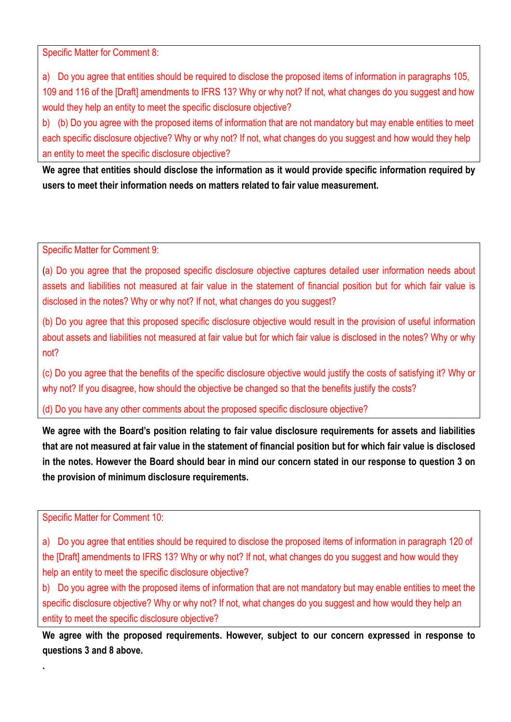Specific Matter for Comment 8:

a) Do you agree that entities should be required to disclose the proposed items of information in paragraphs 105, 109 and 116 of the [Draft] amendments to IFRS 13? Why or why not? If not, what changes do you suggest and how would they help an entity to meet the specific disclosure objective?

b) (b) Do you agree with the proposed items of information that are not mandatory but may enable entities to meet each specific disclosure objective? Why or why not? If not, what changes do you suggest and how would they help an entity to meet the specific disclosure objective?

**We agree that entities should disclose the information as it would provide specific information required by users to meet their information needs on matters related to fair value measurement.** 

Specific Matter for Comment 9:

(a) Do you agree that the proposed specific disclosure objective captures detailed user information needs about assets and liabilities not measured at fair value in the statement of financial position but for which fair value is disclosed in the notes? Why or why not? If not, what changes do you suggest?

(b) Do you agree that this proposed specific disclosure objective would result in the provision of useful information about assets and liabilities not measured at fair value but for which fair value is disclosed in the notes? Why or why not?

(c) Do you agree that the benefits of the specific disclosure objective would justify the costs of satisfying it? Why or why not? If you disagree, how should the objective be changed so that the benefits justify the costs?

(d) Do you have any other comments about the proposed specific disclosure objective?

**We agree with the Board's position relating to fair value disclosure requirements for assets and liabilities that are not measured at fair value in the statement of financial position but for which fair value is disclosed in the notes. However the Board should bear in mind our concern stated in our response to question 3 on the provision of minimum disclosure requirements.**

Specific Matter for Comment 10:

**.** 

a) Do you agree that entities should be required to disclose the proposed items of information in paragraph 120 of the [Draft] amendments to IFRS 13? Why or why not? If not, what changes do you suggest and how would they help an entity to meet the specific disclosure objective?

b) Do you agree with the proposed items of information that are not mandatory but may enable entities to meet the specific disclosure objective? Why or why not? If not, what changes do you suggest and how would they help an entity to meet the specific disclosure objective?

**We agree with the proposed requirements. However, subject to our concern expressed in response to questions 3 and 8 above.**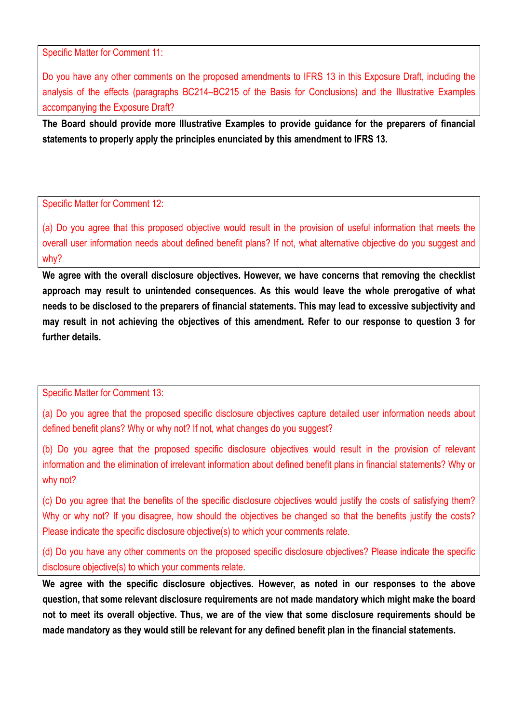Specific Matter for Comment 11:

Do you have any other comments on the proposed amendments to IFRS 13 in this Exposure Draft, including the analysis of the effects (paragraphs BC214–BC215 of the Basis for Conclusions) and the Illustrative Examples accompanying the Exposure Draft?

**The Board should provide more Illustrative Examples to provide guidance for the preparers of financial statements to properly apply the principles enunciated by this amendment to IFRS 13.**

## Specific Matter for Comment 12:

(a) Do you agree that this proposed objective would result in the provision of useful information that meets the overall user information needs about defined benefit plans? If not, what alternative objective do you suggest and why?

**We agree with the overall disclosure objectives. However, we have concerns that removing the checklist approach may result to unintended consequences. As this would leave the whole prerogative of what needs to be disclosed to the preparers of financial statements. This may lead to excessive subjectivity and may result in not achieving the objectives of this amendment. Refer to our response to question 3 for further details.**

#### Specific Matter for Comment 13:

(a) Do you agree that the proposed specific disclosure objectives capture detailed user information needs about defined benefit plans? Why or why not? If not, what changes do you suggest?

(b) Do you agree that the proposed specific disclosure objectives would result in the provision of relevant information and the elimination of irrelevant information about defined benefit plans in financial statements? Why or why not?

(c) Do you agree that the benefits of the specific disclosure objectives would justify the costs of satisfying them? Why or why not? If you disagree, how should the objectives be changed so that the benefits justify the costs? Please indicate the specific disclosure objective(s) to which your comments relate.

(d) Do you have any other comments on the proposed specific disclosure objectives? Please indicate the specific disclosure objective(s) to which your comments relate.

**We agree with the specific disclosure objectives. However, as noted in our responses to the above question, that some relevant disclosure requirements are not made mandatory which might make the board not to meet its overall objective. Thus, we are of the view that some disclosure requirements should be made mandatory as they would still be relevant for any defined benefit plan in the financial statements.**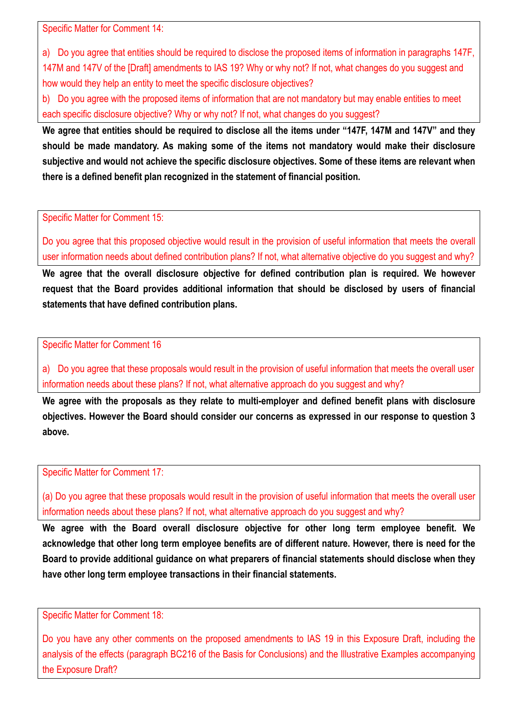Specific Matter for Comment 14:

a) Do you agree that entities should be required to disclose the proposed items of information in paragraphs 147F, 147M and 147V of the [Draft] amendments to IAS 19? Why or why not? If not, what changes do you suggest and how would they help an entity to meet the specific disclosure objectives?

b) Do you agree with the proposed items of information that are not mandatory but may enable entities to meet each specific disclosure objective? Why or why not? If not, what changes do you suggest?

**We agree that entities should be required to disclose all the items under "147F, 147M and 147V" and they should be made mandatory. As making some of the items not mandatory would make their disclosure subjective and would not achieve the specific disclosure objectives. Some of these items are relevant when there is a defined benefit plan recognized in the statement of financial position.** 

Specific Matter for Comment 15:

Do you agree that this proposed objective would result in the provision of useful information that meets the overall user information needs about defined contribution plans? If not, what alternative objective do you suggest and why?

**We agree that the overall disclosure objective for defined contribution plan is required. We however request that the Board provides additional information that should be disclosed by users of financial statements that have defined contribution plans.** 

Specific Matter for Comment 16

a) Do you agree that these proposals would result in the provision of useful information that meets the overall user information needs about these plans? If not, what alternative approach do you suggest and why?

**We agree with the proposals as they relate to multi-employer and defined benefit plans with disclosure objectives. However the Board should consider our concerns as expressed in our response to question 3 above.**

Specific Matter for Comment 17:

(a) Do you agree that these proposals would result in the provision of useful information that meets the overall user information needs about these plans? If not, what alternative approach do you suggest and why?

**We agree with the Board overall disclosure objective for other long term employee benefit. We acknowledge that other long term employee benefits are of different nature. However, there is need for the Board to provide additional guidance on what preparers of financial statements should disclose when they have other long term employee transactions in their financial statements.** 

Specific Matter for Comment 18:

Do you have any other comments on the proposed amendments to IAS 19 in this Exposure Draft, including the analysis of the effects (paragraph BC216 of the Basis for Conclusions) and the Illustrative Examples accompanying the Exposure Draft?